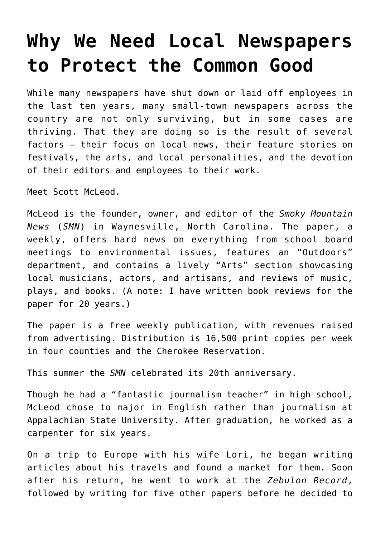## **[Why We Need Local Newspapers](https://intellectualtakeout.org/2020/01/why-we-need-local-newspapers-to-protect-the-common-good/) [to Protect the Common Good](https://intellectualtakeout.org/2020/01/why-we-need-local-newspapers-to-protect-the-common-good/)**

While many newspapers have shut down or laid off employees in the last ten years, many small-town newspapers across the country are not only surviving, but in some cases are thriving. That they are doing so is the result of several factors – their focus on local news, their feature stories on festivals, the arts, and local personalities, and the devotion of their editors and employees to their work.

Meet Scott McLeod.

McLeod is the founder, owner, and editor of the *Smoky Mountain News* (*SMN*) in Waynesville, North Carolina. The paper, a weekly, offers hard news on everything from school board meetings to environmental issues, features an "Outdoors" department, and contains a lively "Arts" section showcasing local musicians, actors, and artisans, and reviews of music, plays, and books. (A note: I have written book reviews for the paper for 20 years.)

The paper is a free weekly publication, with revenues raised from advertising. Distribution is 16,500 print copies per week in four counties and the Cherokee Reservation.

This summer the *SMN* celebrated its 20th anniversary.

Though he had a "fantastic journalism teacher" in high school, McLeod chose to major in English rather than journalism at Appalachian State University. After graduation, he worked as a carpenter for six years.

On a trip to Europe with his wife Lori, he began writing articles about his travels and found a market for them. Soon after his return, he went to work at the *Zebulon Record*, followed by writing for five other papers before he decided to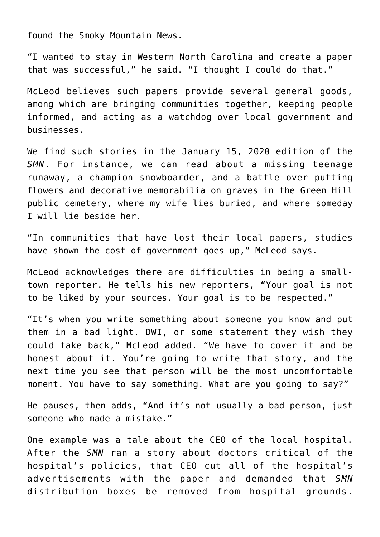found the Smoky Mountain News.

"I wanted to stay in Western North Carolina and create a paper that was successful," he said. "I thought I could do that."

McLeod believes such papers provide several general goods, among which are bringing communities together, keeping people informed, and acting as a watchdog over local government and businesses.

We find such stories in the January 15, 2020 edition of the *SMN*. For instance, we can read about a missing teenage runaway, a champion snowboarder, and a battle over putting flowers and decorative memorabilia on graves in the Green Hill public cemetery, where my wife lies buried, and where someday I will lie beside her.

"In communities that have lost their local papers, studies have shown the cost of government goes up," McLeod says.

McLeod acknowledges there are difficulties in being a smalltown reporter. He tells his new reporters, "Your goal is not to be liked by your sources. Your goal is to be respected."

"It's when you write something about someone you know and put them in a bad light. DWI, or some statement they wish they could take back," McLeod added. "We have to cover it and be honest about it. You're going to write that story, and the next time you see that person will be the most uncomfortable moment. You have to say something. What are you going to say?"

He pauses, then adds, "And it's not usually a bad person, just someone who made a mistake."

One example was a tale about the CEO of the local hospital. After the *SMN* ran a story about doctors critical of the hospital's policies, that CEO cut all of the hospital's advertisements with the paper and demanded that *SMN* distribution boxes be removed from hospital grounds.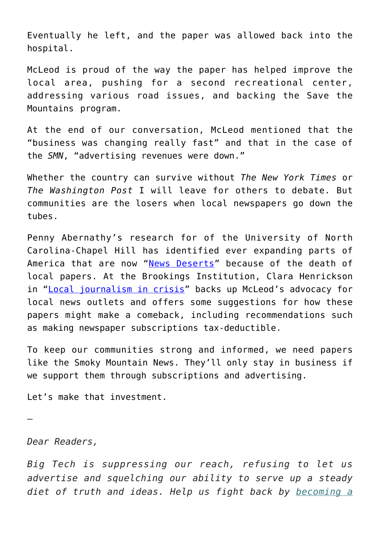Eventually he left, and the paper was allowed back into the hospital.

McLeod is proud of the way the paper has helped improve the local area, pushing for a second recreational center, addressing various road issues, and backing the Save the Mountains program.

At the end of our conversation, McLeod mentioned that the "business was changing really fast" and that in the case of the *SMN*, "advertising revenues were down."

Whether the country can survive without *The New York Times* or *The Washington Post* I will leave for others to debate. But communities are the losers when local newspapers go down the tubes.

Penny Abernathy's research for of the University of North Carolina-Chapel Hill has identified ever expanding parts of America that are now "[News Deserts](http://hussman.unc.edu/directory/faculty/penny-abernathy)" because of the death of local papers. At the Brookings Institution, Clara Henrickson in "[Local journalism in crisis](https://www.brookings.edu/research/local-journalism-in-crisis-why-america-must-revive-its-local-newsrooms/)" backs up McLeod's advocacy for local news outlets and offers some suggestions for how these papers might make a comeback, including recommendations such as making newspaper subscriptions tax-deductible.

To keep our communities strong and informed, we need papers like the Smoky Mountain News. They'll only stay in business if we support them through subscriptions and advertising.

Let's make that investment.

*Dear Readers,*

—

*Big Tech is suppressing our reach, refusing to let us advertise and squelching our ability to serve up a steady diet of truth and ideas. Help us fight back by [becoming a](https://www.chroniclesmagazine.org/subscribe/)*